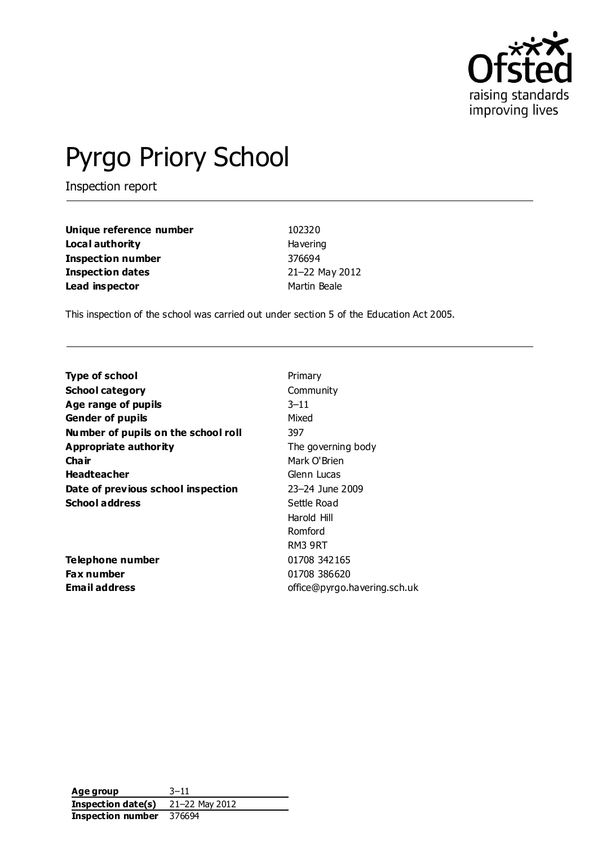

# Pyrgo Priory School

Inspection report

| Unique reference number  | 102320          |
|--------------------------|-----------------|
| Local authority          | <b>Havering</b> |
| <b>Inspection number</b> | 376694          |
| <b>Inspection dates</b>  | 21-22 May 2012  |
| Lead inspector           | Martin Beale    |

This inspection of the school was carried out under section 5 of the Education Act 2005.

| <b>Type of school</b>               | Primary                      |
|-------------------------------------|------------------------------|
| <b>School category</b>              | Community                    |
| Age range of pupils                 | $3 - 11$                     |
| <b>Gender of pupils</b>             | Mixed                        |
| Number of pupils on the school roll | 397                          |
| Appropriate authority               | The governing body           |
| Cha ir                              | Mark O'Brien                 |
| <b>Headteacher</b>                  | Glenn Lucas                  |
| Date of previous school inspection  | 23-24 June 2009              |
| <b>School address</b>               | Settle Road                  |
|                                     | Harold Hill                  |
|                                     | Romford                      |
|                                     | RM3 9RT                      |
| Telephone number                    | 01708 342165                 |
| <b>Fax number</b>                   | 01708 386620                 |
| <b>Email address</b>                | office@pyrgo.havering.sch.uk |
|                                     |                              |

**Age group** 3–11 **Inspection date(s)** 21–22 May 2012 **Inspection number** 376694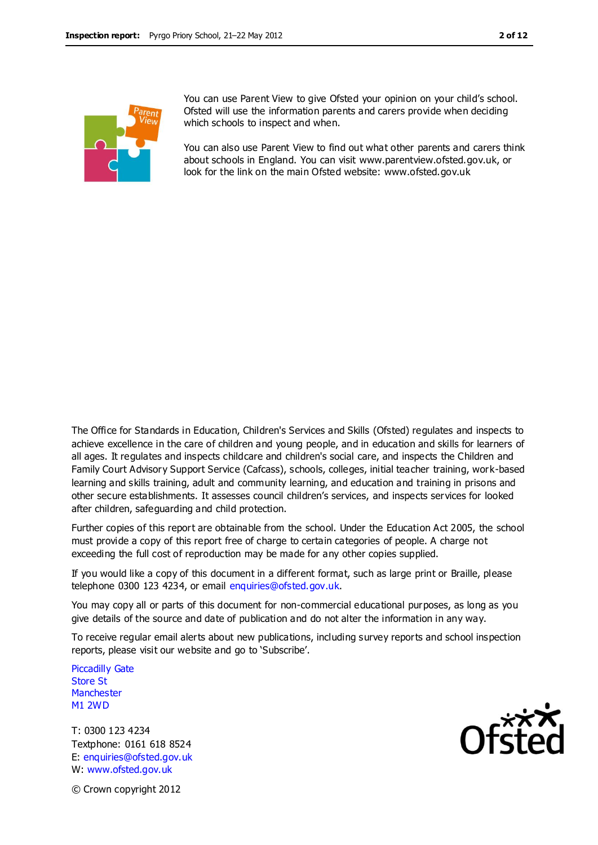

You can use Parent View to give Ofsted your opinion on your child's school. Ofsted will use the information parents and carers provide when deciding which schools to inspect and when.

You can also use Parent View to find out what other parents and carers think about schools in England. You can visit www.parentview.ofsted.gov.uk, or look for the link on the main Ofsted website: www.ofsted.gov.uk

The Office for Standards in Education, Children's Services and Skills (Ofsted) regulates and inspects to achieve excellence in the care of children and young people, and in education and skills for learners of all ages. It regulates and inspects childcare and children's social care, and inspects the Children and Family Court Advisory Support Service (Cafcass), schools, colleges, initial teacher training, work-based learning and skills training, adult and community learning, and education and training in prisons and other secure establishments. It assesses council children's services, and inspects services for looked after children, safeguarding and child protection.

Further copies of this report are obtainable from the school. Under the Education Act 2005, the school must provide a copy of this report free of charge to certain categories of people. A charge not exceeding the full cost of reproduction may be made for any other copies supplied.

If you would like a copy of this document in a different format, such as large print or Braille, please telephone 0300 123 4234, or email enquiries@ofsted.gov.uk.

You may copy all or parts of this document for non-commercial educational purposes, as long as you give details of the source and date of publication and do not alter the information in any way.

To receive regular email alerts about new publications, including survey reports and school inspection reports, please visit our website and go to 'Subscribe'.

Piccadilly Gate Store St **Manchester** M1 2WD

T: 0300 123 4234 Textphone: 0161 618 8524 E: enquiries@ofsted.gov.uk W: www.ofsted.gov.uk



© Crown copyright 2012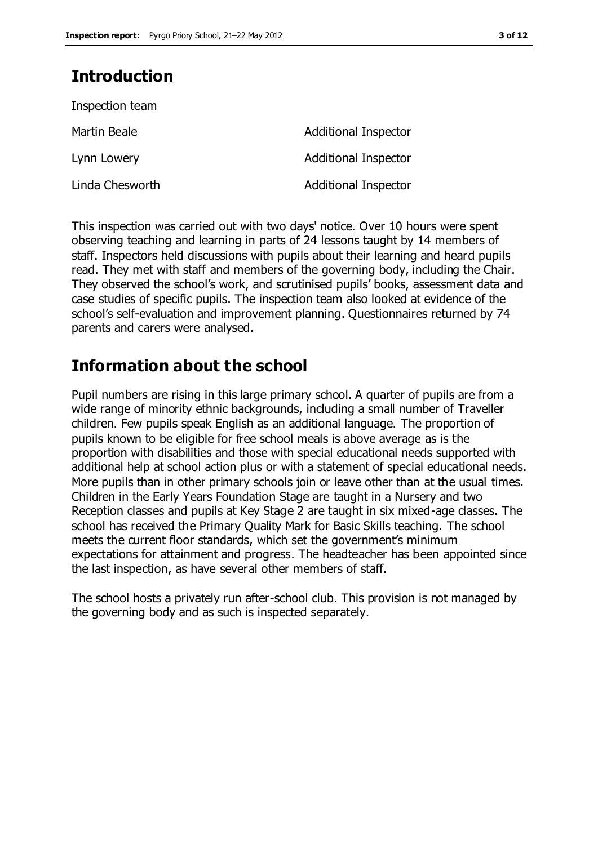## **Introduction**

| Inspection team |                             |
|-----------------|-----------------------------|
| Martin Beale    | <b>Additional Inspector</b> |
| Lynn Lowery     | <b>Additional Inspector</b> |
| Linda Chesworth | <b>Additional Inspector</b> |

This inspection was carried out with two days' notice. Over 10 hours were spent observing teaching and learning in parts of 24 lessons taught by 14 members of staff. Inspectors held discussions with pupils about their learning and heard pupils read. They met with staff and members of the governing body, including the Chair. They observed the school's work, and scrutinised pupils' books, assessment data and case studies of specific pupils. The inspection team also looked at evidence of the school's self-evaluation and improvement planning. Questionnaires returned by 74 parents and carers were analysed.

## **Information about the school**

Pupil numbers are rising in this large primary school. A quarter of pupils are from a wide range of minority ethnic backgrounds, including a small number of Traveller children. Few pupils speak English as an additional language. The proportion of pupils known to be eligible for free school meals is above average as is the proportion with disabilities and those with special educational needs supported with additional help at school action plus or with a statement of special educational needs. More pupils than in other primary schools join or leave other than at the usual times. Children in the Early Years Foundation Stage are taught in a Nursery and two Reception classes and pupils at Key Stage 2 are taught in six mixed-age classes. The school has received the Primary Quality Mark for Basic Skills teaching. The school meets the current floor standards, which set the government's minimum expectations for attainment and progress. The headteacher has been appointed since the last inspection, as have several other members of staff.

The school hosts a privately run after-school club. This provision is not managed by the governing body and as such is inspected separately.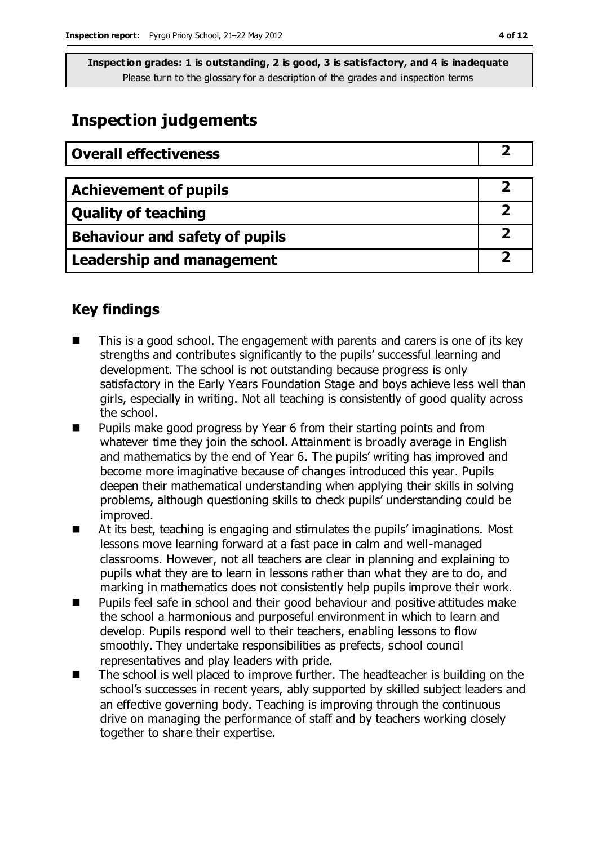## **Inspection judgements**

| <b>Overall effectiveness</b>          |  |
|---------------------------------------|--|
|                                       |  |
| <b>Achievement of pupils</b>          |  |
| <b>Quality of teaching</b>            |  |
| <b>Behaviour and safety of pupils</b> |  |
| <b>Leadership and management</b>      |  |

## **Key findings**

- This is a good school. The engagement with parents and carers is one of its key strengths and contributes significantly to the pupils' successful learning and development. The school is not outstanding because progress is only satisfactory in the Early Years Foundation Stage and boys achieve less well than girls, especially in writing. Not all teaching is consistently of good quality across the school.
- Pupils make good progress by Year 6 from their starting points and from whatever time they join the school. Attainment is broadly average in English and mathematics by the end of Year 6. The pupils' writing has improved and become more imaginative because of changes introduced this year. Pupils deepen their mathematical understanding when applying their skills in solving problems, although questioning skills to check pupils' understanding could be improved.
- At its best, teaching is engaging and stimulates the pupils' imaginations. Most lessons move learning forward at a fast pace in calm and well-managed classrooms. However, not all teachers are clear in planning and explaining to pupils what they are to learn in lessons rather than what they are to do, and marking in mathematics does not consistently help pupils improve their work.
- Pupils feel safe in school and their good behaviour and positive attitudes make the school a harmonious and purposeful environment in which to learn and develop. Pupils respond well to their teachers, enabling lessons to flow smoothly. They undertake responsibilities as prefects, school council representatives and play leaders with pride.
- The school is well placed to improve further. The headteacher is building on the school's successes in recent years, ably supported by skilled subject leaders and an effective governing body. Teaching is improving through the continuous drive on managing the performance of staff and by teachers working closely together to share their expertise.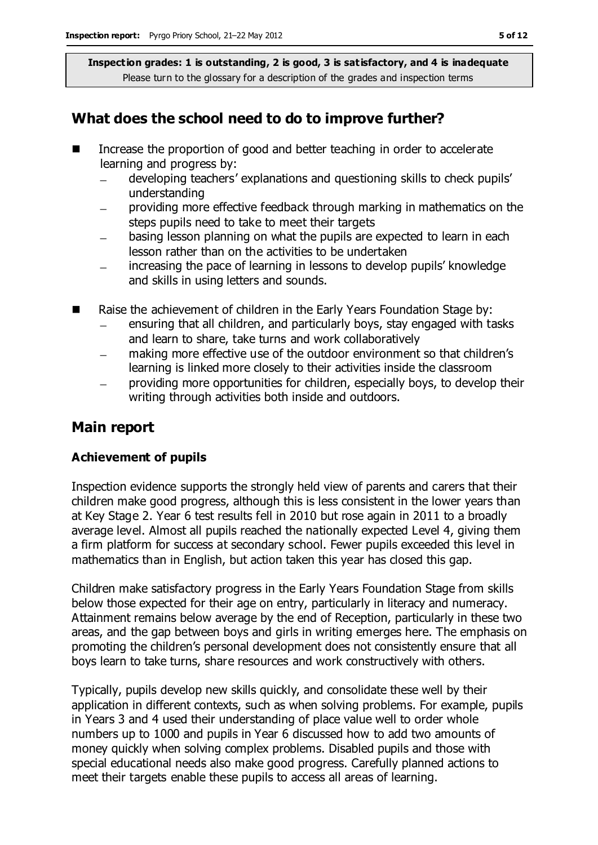## **What does the school need to do to improve further?**

- Increase the proportion of good and better teaching in order to accelerate learning and progress by:
	- developing teachers' explanations and questioning skills to check pupils'  $\equiv$ understanding
	- providing more effective feedback through marking in mathematics on the steps pupils need to take to meet their targets
	- basing lesson planning on what the pupils are expected to learn in each lesson rather than on the activities to be undertaken
	- increasing the pace of learning in lessons to develop pupils' knowledge  $\qquad \qquad$ and skills in using letters and sounds.
- Raise the achievement of children in the Early Years Foundation Stage by:
	- ensuring that all children, and particularly boys, stay engaged with tasks and learn to share, take turns and work collaboratively
	- making more effective use of the outdoor environment so that children's learning is linked more closely to their activities inside the classroom
	- providing more opportunities for children, especially boys, to develop their writing through activities both inside and outdoors.

## **Main report**

#### **Achievement of pupils**

Inspection evidence supports the strongly held view of parents and carers that their children make good progress, although this is less consistent in the lower years than at Key Stage 2. Year 6 test results fell in 2010 but rose again in 2011 to a broadly average level. Almost all pupils reached the nationally expected Level 4, giving them a firm platform for success at secondary school. Fewer pupils exceeded this level in mathematics than in English, but action taken this year has closed this gap.

Children make satisfactory progress in the Early Years Foundation Stage from skills below those expected for their age on entry, particularly in literacy and numeracy. Attainment remains below average by the end of Reception, particularly in these two areas, and the gap between boys and girls in writing emerges here. The emphasis on promoting the children's personal development does not consistently ensure that all boys learn to take turns, share resources and work constructively with others.

Typically, pupils develop new skills quickly, and consolidate these well by their application in different contexts, such as when solving problems. For example, pupils in Years 3 and 4 used their understanding of place value well to order whole numbers up to 1000 and pupils in Year 6 discussed how to add two amounts of money quickly when solving complex problems. Disabled pupils and those with special educational needs also make good progress. Carefully planned actions to meet their targets enable these pupils to access all areas of learning.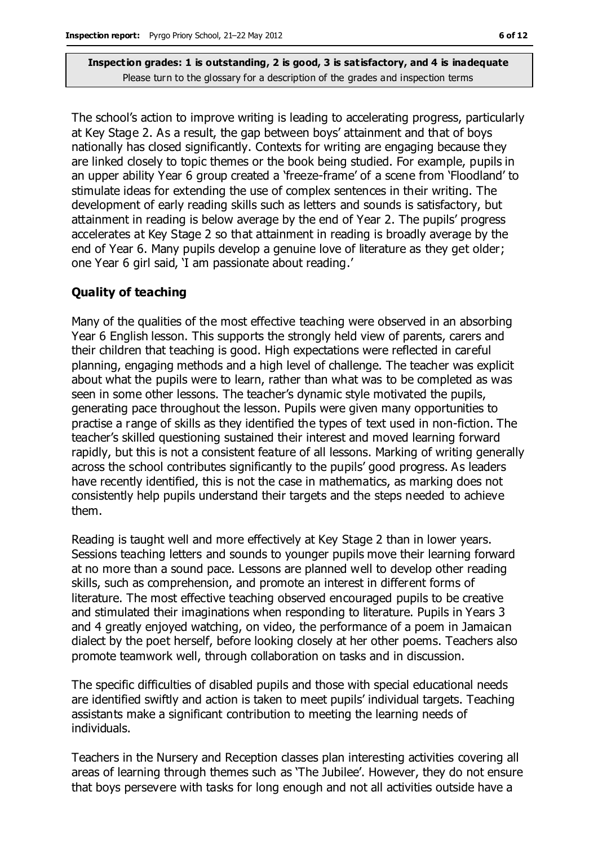The school's action to improve writing is leading to accelerating progress, particularly at Key Stage 2. As a result, the gap between boys' attainment and that of boys nationally has closed significantly. Contexts for writing are engaging because they are linked closely to topic themes or the book being studied. For example, pupils in an upper ability Year 6 group created a 'freeze-frame' of a scene from 'Floodland' to stimulate ideas for extending the use of complex sentences in their writing. The development of early reading skills such as letters and sounds is satisfactory, but attainment in reading is below average by the end of Year 2. The pupils' progress accelerates at Key Stage 2 so that attainment in reading is broadly average by the end of Year 6. Many pupils develop a genuine love of literature as they get older; one Year 6 girl said, 'I am passionate about reading.'

#### **Quality of teaching**

Many of the qualities of the most effective teaching were observed in an absorbing Year 6 English lesson. This supports the strongly held view of parents, carers and their children that teaching is good. High expectations were reflected in careful planning, engaging methods and a high level of challenge. The teacher was explicit about what the pupils were to learn, rather than what was to be completed as was seen in some other lessons. The teacher's dynamic style motivated the pupils, generating pace throughout the lesson. Pupils were given many opportunities to practise a range of skills as they identified the types of text used in non-fiction. The teacher's skilled questioning sustained their interest and moved learning forward rapidly, but this is not a consistent feature of all lessons. Marking of writing generally across the school contributes significantly to the pupils' good progress. As leaders have recently identified, this is not the case in mathematics, as marking does not consistently help pupils understand their targets and the steps needed to achieve them.

Reading is taught well and more effectively at Key Stage 2 than in lower years. Sessions teaching letters and sounds to younger pupils move their learning forward at no more than a sound pace. Lessons are planned well to develop other reading skills, such as comprehension, and promote an interest in different forms of literature. The most effective teaching observed encouraged pupils to be creative and stimulated their imaginations when responding to literature. Pupils in Years 3 and 4 greatly enjoyed watching, on video, the performance of a poem in Jamaican dialect by the poet herself, before looking closely at her other poems. Teachers also promote teamwork well, through collaboration on tasks and in discussion.

The specific difficulties of disabled pupils and those with special educational needs are identified swiftly and action is taken to meet pupils' individual targets. Teaching assistants make a significant contribution to meeting the learning needs of individuals.

Teachers in the Nursery and Reception classes plan interesting activities covering all areas of learning through themes such as 'The Jubilee'. However, they do not ensure that boys persevere with tasks for long enough and not all activities outside have a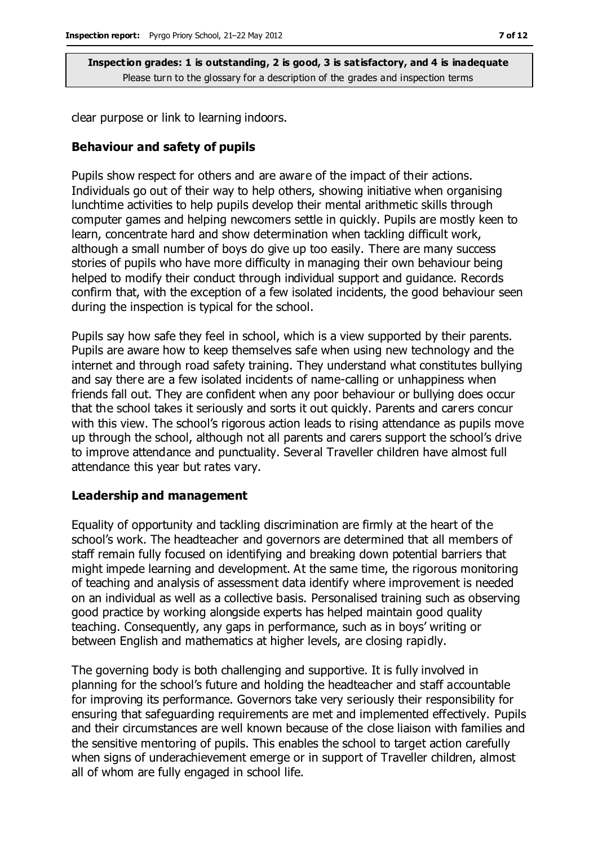clear purpose or link to learning indoors.

#### **Behaviour and safety of pupils**

Pupils show respect for others and are aware of the impact of their actions. Individuals go out of their way to help others, showing initiative when organising lunchtime activities to help pupils develop their mental arithmetic skills through computer games and helping newcomers settle in quickly. Pupils are mostly keen to learn, concentrate hard and show determination when tackling difficult work, although a small number of boys do give up too easily. There are many success stories of pupils who have more difficulty in managing their own behaviour being helped to modify their conduct through individual support and guidance. Records confirm that, with the exception of a few isolated incidents, the good behaviour seen during the inspection is typical for the school.

Pupils say how safe they feel in school, which is a view supported by their parents. Pupils are aware how to keep themselves safe when using new technology and the internet and through road safety training. They understand what constitutes bullying and say there are a few isolated incidents of name-calling or unhappiness when friends fall out. They are confident when any poor behaviour or bullying does occur that the school takes it seriously and sorts it out quickly. Parents and carers concur with this view. The school's rigorous action leads to rising attendance as pupils move up through the school, although not all parents and carers support the school's drive to improve attendance and punctuality. Several Traveller children have almost full attendance this year but rates vary.

#### **Leadership and management**

Equality of opportunity and tackling discrimination are firmly at the heart of the school's work. The headteacher and governors are determined that all members of staff remain fully focused on identifying and breaking down potential barriers that might impede learning and development. At the same time, the rigorous monitoring of teaching and analysis of assessment data identify where improvement is needed on an individual as well as a collective basis. Personalised training such as observing good practice by working alongside experts has helped maintain good quality teaching. Consequently, any gaps in performance, such as in boys' writing or between English and mathematics at higher levels, are closing rapidly.

The governing body is both challenging and supportive. It is fully involved in planning for the school's future and holding the headteacher and staff accountable for improving its performance. Governors take very seriously their responsibility for ensuring that safeguarding requirements are met and implemented effectively. Pupils and their circumstances are well known because of the close liaison with families and the sensitive mentoring of pupils. This enables the school to target action carefully when signs of underachievement emerge or in support of Traveller children, almost all of whom are fully engaged in school life.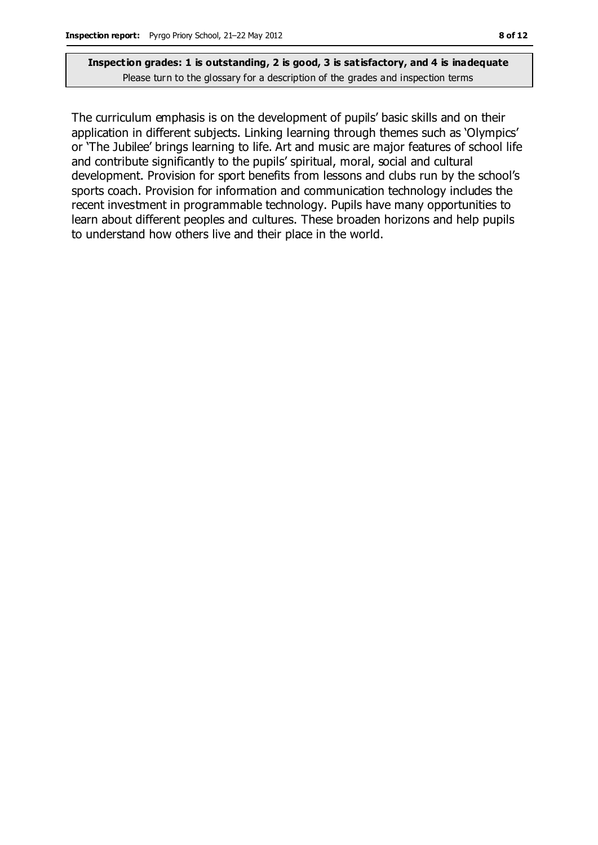The curriculum emphasis is on the development of pupils' basic skills and on their application in different subjects. Linking learning through themes such as 'Olympics' or 'The Jubilee' brings learning to life. Art and music are major features of school life and contribute significantly to the pupils' spiritual, moral, social and cultural development. Provision for sport benefits from lessons and clubs run by the school's sports coach. Provision for information and communication technology includes the recent investment in programmable technology. Pupils have many opportunities to learn about different peoples and cultures. These broaden horizons and help pupils to understand how others live and their place in the world.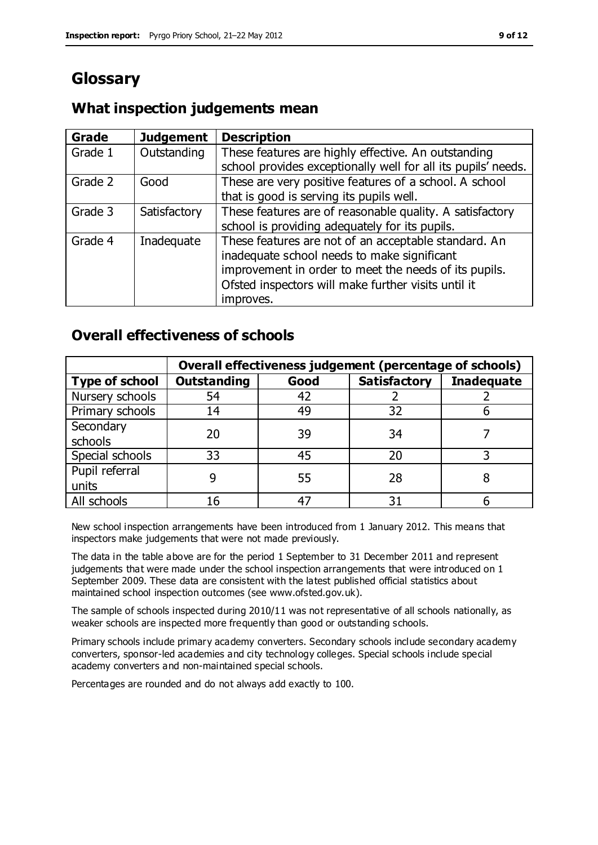## **Glossary**

### **What inspection judgements mean**

| Grade   | <b>Judgement</b> | <b>Description</b>                                            |
|---------|------------------|---------------------------------------------------------------|
| Grade 1 | Outstanding      | These features are highly effective. An outstanding           |
|         |                  | school provides exceptionally well for all its pupils' needs. |
| Grade 2 | Good             | These are very positive features of a school. A school        |
|         |                  | that is good is serving its pupils well.                      |
| Grade 3 | Satisfactory     | These features are of reasonable quality. A satisfactory      |
|         |                  | school is providing adequately for its pupils.                |
| Grade 4 | Inadequate       | These features are not of an acceptable standard. An          |
|         |                  | inadequate school needs to make significant                   |
|         |                  | improvement in order to meet the needs of its pupils.         |
|         |                  | Ofsted inspectors will make further visits until it           |
|         |                  | improves.                                                     |

### **Overall effectiveness of schools**

|                       | Overall effectiveness judgement (percentage of schools) |      |                     |                   |
|-----------------------|---------------------------------------------------------|------|---------------------|-------------------|
| <b>Type of school</b> | <b>Outstanding</b>                                      | Good | <b>Satisfactory</b> | <b>Inadequate</b> |
| Nursery schools       | 54                                                      | 42   |                     |                   |
| Primary schools       | 14                                                      | 49   | 32                  |                   |
| Secondary             | 20                                                      | 39   | 34                  |                   |
| schools               |                                                         |      |                     |                   |
| Special schools       | 33                                                      | 45   | 20                  |                   |
| Pupil referral        |                                                         | 55   | 28                  |                   |
| units                 |                                                         |      |                     |                   |
| All schools           | 16                                                      | 47   | 31                  |                   |

New school inspection arrangements have been introduced from 1 January 2012. This means that inspectors make judgements that were not made previously.

The data in the table above are for the period 1 September to 31 December 2011 and represent judgements that were made under the school inspection arrangements that were introduced on 1 September 2009. These data are consistent with the latest published official statistics about maintained school inspection outcomes (see www.ofsted.gov.uk).

The sample of schools inspected during 2010/11 was not representative of all schools nationally, as weaker schools are inspected more frequently than good or outstanding schools.

Primary schools include primary academy converters. Secondary schools include secondary academy converters, sponsor-led academies and city technology colleges. Special schools include special academy converters and non-maintained special schools.

Percentages are rounded and do not always add exactly to 100.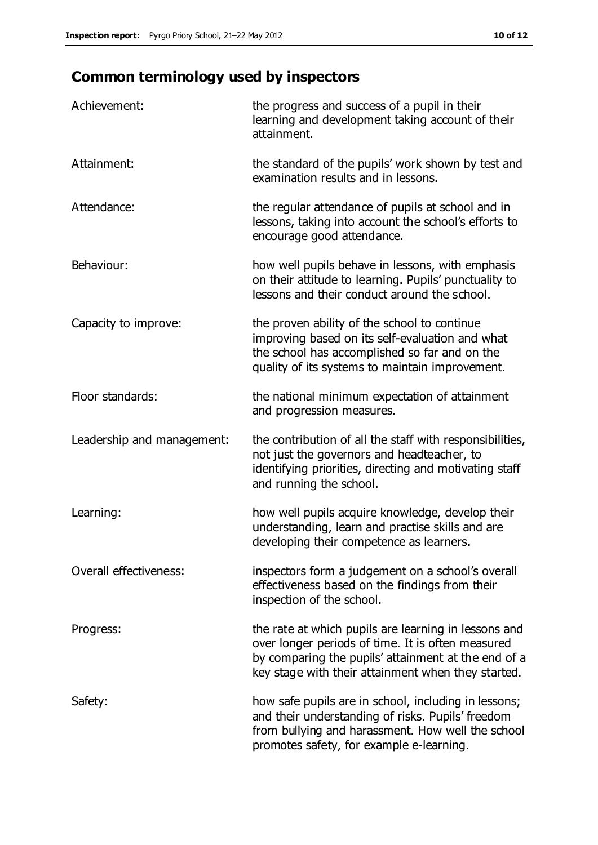## **Common terminology used by inspectors**

| Achievement:               | the progress and success of a pupil in their<br>learning and development taking account of their<br>attainment.                                                                                                        |
|----------------------------|------------------------------------------------------------------------------------------------------------------------------------------------------------------------------------------------------------------------|
| Attainment:                | the standard of the pupils' work shown by test and<br>examination results and in lessons.                                                                                                                              |
| Attendance:                | the regular attendance of pupils at school and in<br>lessons, taking into account the school's efforts to<br>encourage good attendance.                                                                                |
| Behaviour:                 | how well pupils behave in lessons, with emphasis<br>on their attitude to learning. Pupils' punctuality to<br>lessons and their conduct around the school.                                                              |
| Capacity to improve:       | the proven ability of the school to continue<br>improving based on its self-evaluation and what<br>the school has accomplished so far and on the<br>quality of its systems to maintain improvement.                    |
| Floor standards:           | the national minimum expectation of attainment<br>and progression measures.                                                                                                                                            |
| Leadership and management: | the contribution of all the staff with responsibilities,<br>not just the governors and headteacher, to<br>identifying priorities, directing and motivating staff<br>and running the school.                            |
| Learning:                  | how well pupils acquire knowledge, develop their<br>understanding, learn and practise skills and are<br>developing their competence as learners.                                                                       |
| Overall effectiveness:     | inspectors form a judgement on a school's overall<br>effectiveness based on the findings from their<br>inspection of the school.                                                                                       |
| Progress:                  | the rate at which pupils are learning in lessons and<br>over longer periods of time. It is often measured<br>by comparing the pupils' attainment at the end of a<br>key stage with their attainment when they started. |
| Safety:                    | how safe pupils are in school, including in lessons;<br>and their understanding of risks. Pupils' freedom<br>from bullying and harassment. How well the school<br>promotes safety, for example e-learning.             |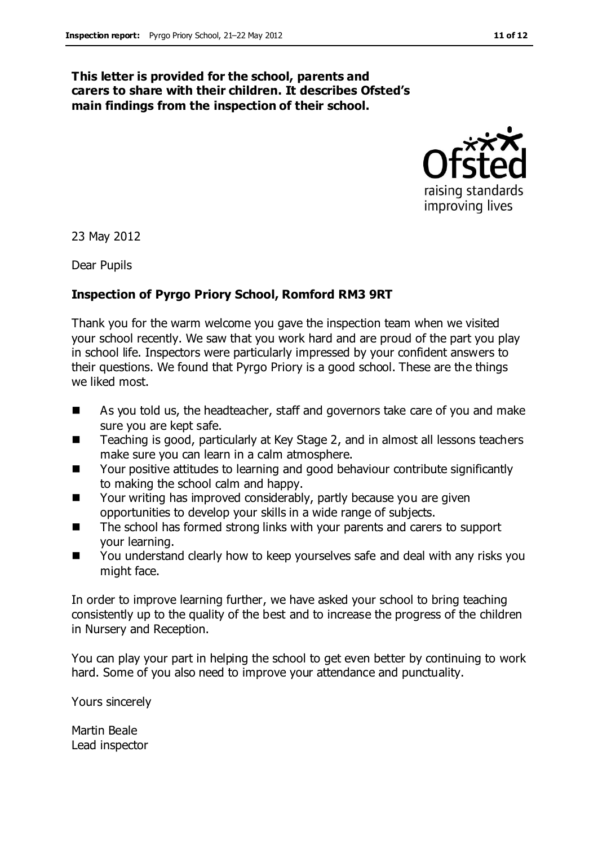#### **This letter is provided for the school, parents and carers to share with their children. It describes Ofsted's main findings from the inspection of their school.**



23 May 2012

Dear Pupils

#### **Inspection of Pyrgo Priory School, Romford RM3 9RT**

Thank you for the warm welcome you gave the inspection team when we visited your school recently. We saw that you work hard and are proud of the part you play in school life. Inspectors were particularly impressed by your confident answers to their questions. We found that Pyrgo Priory is a good school. These are the things we liked most.

- As you told us, the headteacher, staff and governors take care of you and make sure you are kept safe.
- Teaching is good, particularly at Key Stage 2, and in almost all lessons teachers make sure you can learn in a calm atmosphere.
- Your positive attitudes to learning and good behaviour contribute significantly to making the school calm and happy.
- Your writing has improved considerably, partly because you are given opportunities to develop your skills in a wide range of subjects.
- The school has formed strong links with your parents and carers to support your learning.
- You understand clearly how to keep yourselves safe and deal with any risks you might face.

In order to improve learning further, we have asked your school to bring teaching consistently up to the quality of the best and to increase the progress of the children in Nursery and Reception.

You can play your part in helping the school to get even better by continuing to work hard. Some of you also need to improve your attendance and punctuality.

Yours sincerely

Martin Beale Lead inspector